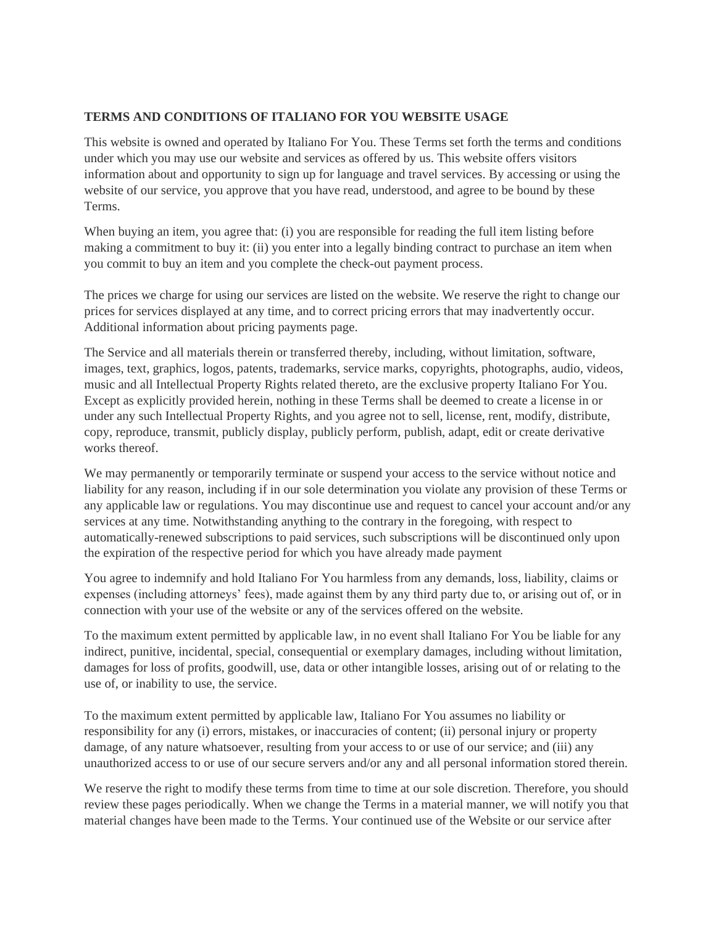## **TERMS AND CONDITIONS OF ITALIANO FOR YOU WEBSITE USAGE**

This website is owned and operated by Italiano For You. These Terms set forth the terms and conditions under which you may use our website and services as offered by us. This website offers visitors information about and opportunity to sign up for language and travel services. By accessing or using the website of our service, you approve that you have read, understood, and agree to be bound by these Terms.

When buying an item, you agree that: (i) you are responsible for reading the full item listing before making a commitment to buy it: (ii) you enter into a legally binding contract to purchase an item when you commit to buy an item and you complete the check-out payment process.

The prices we charge for using our services are listed on the website. We reserve the right to change our prices for services displayed at any time, and to correct pricing errors that may inadvertently occur. Additional information about pricing payments page.

The Service and all materials therein or transferred thereby, including, without limitation, software, images, text, graphics, logos, patents, trademarks, service marks, copyrights, photographs, audio, videos, music and all Intellectual Property Rights related thereto, are the exclusive property Italiano For You. Except as explicitly provided herein, nothing in these Terms shall be deemed to create a license in or under any such Intellectual Property Rights, and you agree not to sell, license, rent, modify, distribute, copy, reproduce, transmit, publicly display, publicly perform, publish, adapt, edit or create derivative works thereof.

We may permanently or temporarily terminate or suspend your access to the service without notice and liability for any reason, including if in our sole determination you violate any provision of these Terms or any applicable law or regulations. You may discontinue use and request to cancel your account and/or any services at any time. Notwithstanding anything to the contrary in the foregoing, with respect to automatically-renewed subscriptions to paid services, such subscriptions will be discontinued only upon the expiration of the respective period for which you have already made payment

You agree to indemnify and hold Italiano For You harmless from any demands, loss, liability, claims or expenses (including attorneys' fees), made against them by any third party due to, or arising out of, or in connection with your use of the website or any of the services offered on the website.

To the maximum extent permitted by applicable law, in no event shall Italiano For You be liable for any indirect, punitive, incidental, special, consequential or exemplary damages, including without limitation, damages for loss of profits, goodwill, use, data or other intangible losses, arising out of or relating to the use of, or inability to use, the service.

To the maximum extent permitted by applicable law, Italiano For You assumes no liability or responsibility for any (i) errors, mistakes, or inaccuracies of content; (ii) personal injury or property damage, of any nature whatsoever, resulting from your access to or use of our service; and (iii) any unauthorized access to or use of our secure servers and/or any and all personal information stored therein.

We reserve the right to modify these terms from time to time at our sole discretion. Therefore, you should review these pages periodically. When we change the Terms in a material manner, we will notify you that material changes have been made to the Terms. Your continued use of the Website or our service after